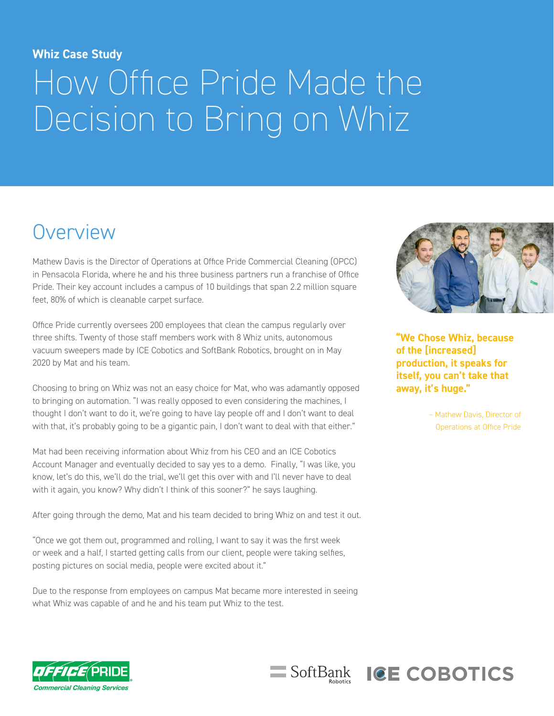#### **Whiz Case Study**

# How Office Pride Made the Decision to Bring on Whiz

### **Overview**

Mathew Davis is the Director of Operations at Office Pride Commercial Cleaning (OPCC) in Pensacola Florida, where he and his three business partners run a franchise of Office Pride. Their key account includes a campus of 10 buildings that span 2.2 million square feet, 80% of which is cleanable carpet surface.

Office Pride currently oversees 200 employees that clean the campus regularly over three shifts. Twenty of those staff members work with 8 Whiz units, autonomous vacuum sweepers made by ICE Cobotics and SoftBank Robotics, brought on in May 2020 by Mat and his team.

Choosing to bring on Whiz was not an easy choice for Mat, who was adamantly opposed to bringing on automation. "I was really opposed to even considering the machines, I thought I don't want to do it, we're going to have lay people off and I don't want to deal with that, it's probably going to be a gigantic pain, I don't want to deal with that either."

Mat had been receiving information about Whiz from his CEO and an ICE Cobotics Account Manager and eventually decided to say yes to a demo. Finally, "I was like, you know, let's do this, we'll do the trial, we'll get this over with and I'll never have to deal with it again, you know? Why didn't I think of this sooner?" he says laughing.

After going through the demo, Mat and his team decided to bring Whiz on and test it out.

"Once we got them out, programmed and rolling, I want to say it was the first week or week and a half, I started getting calls from our client, people were taking selfies, posting pictures on social media, people were excited about it."

Due to the response from employees on campus Mat became more interested in seeing what Whiz was capable of and he and his team put Whiz to the test.

SoftBank



**"We Chose Whiz, because of the [increased] production, it speaks for itself, you can't take that away, it's huge."**

**ICE COBOTICS** 

– Mathew Davis, Director of Operations at Office Pride

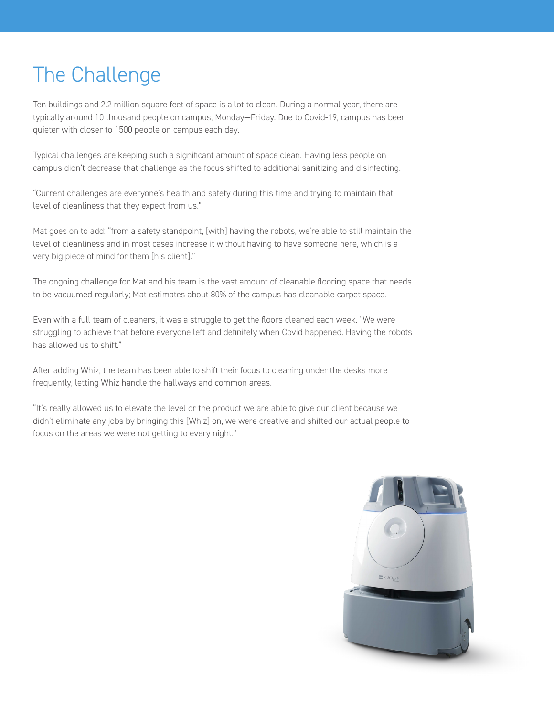## The Challenge

Ten buildings and 2.2 million square feet of space is a lot to clean. During a normal year, there are typically around 10 thousand people on campus, Monday—Friday. Due to Covid-19, campus has been quieter with closer to 1500 people on campus each day.

Typical challenges are keeping such a significant amount of space clean. Having less people on campus didn't decrease that challenge as the focus shifted to additional sanitizing and disinfecting.

"Current challenges are everyone's health and safety during this time and trying to maintain that level of cleanliness that they expect from us."

Mat goes on to add: "from a safety standpoint, [with] having the robots, we're able to still maintain the level of cleanliness and in most cases increase it without having to have someone here, which is a very big piece of mind for them [his client]."

The ongoing challenge for Mat and his team is the vast amount of cleanable flooring space that needs to be vacuumed regularly; Mat estimates about 80% of the campus has cleanable carpet space.

Even with a full team of cleaners, it was a struggle to get the floors cleaned each week. "We were struggling to achieve that before everyone left and definitely when Covid happened. Having the robots has allowed us to shift."

After adding Whiz, the team has been able to shift their focus to cleaning under the desks more frequently, letting Whiz handle the hallways and common areas.

"It's really allowed us to elevate the level or the product we are able to give our client because we didn't eliminate any jobs by bringing this [Whiz] on, we were creative and shifted our actual people to focus on the areas we were not getting to every night."

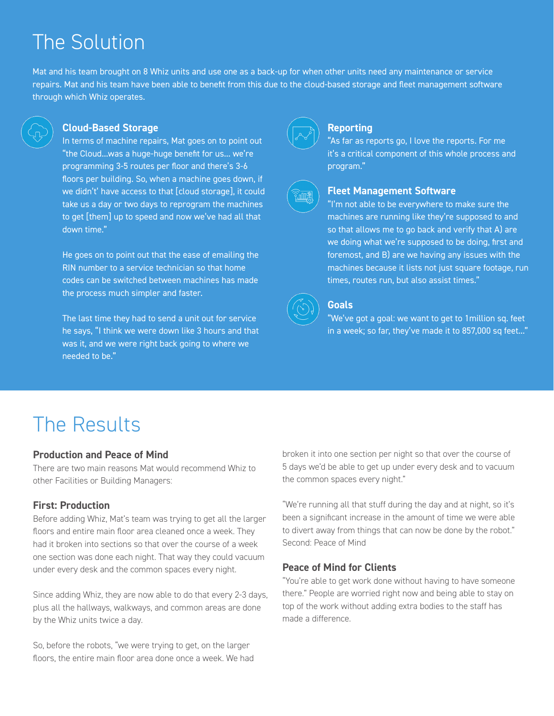### The Solution

Mat and his team brought on 8 Whiz units and use one as a back-up for when other units need any maintenance or service repairs. Mat and his team have been able to benefit from this due to the cloud-based storage and fleet management software through which Whiz operates.



#### **Cloud-Based Storage**

In terms of machine repairs, Mat goes on to point out "the Cloud...was a huge-huge benefit for us... we're programming 3-5 routes per floor and there's 3-6 floors per building. So, when a machine goes down, if we didn't' have access to that [cloud storage], it could take us a day or two days to reprogram the machines to get [them] up to speed and now we've had all that down time."

He goes on to point out that the ease of emailing the RIN number to a service technician so that home codes can be switched between machines has made the process much simpler and faster.

The last time they had to send a unit out for service he says, "I think we were down like 3 hours and that was it, and we were right back going to where we needed to be."



#### **Reporting**

"As far as reports go, I love the reports. For me it's a critical component of this whole process and program."



#### **Fleet Management Software**

"I'm not able to be everywhere to make sure the machines are running like they're supposed to and so that allows me to go back and verify that A) are we doing what we're supposed to be doing, first and foremost, and B) are we having any issues with the machines because it lists not just square footage, run times, routes run, but also assist times."



#### **Goals**

"We've got a goal: we want to get to 1million sq. feet in a week; so far, they've made it to 857,000 sq feet..."

### The Results

#### **Production and Peace of Mind**

There are two main reasons Mat would recommend Whiz to other Facilities or Building Managers:

#### **First: Production**

Before adding Whiz, Mat's team was trying to get all the larger floors and entire main floor area cleaned once a week. They had it broken into sections so that over the course of a week one section was done each night. That way they could vacuum under every desk and the common spaces every night.

Since adding Whiz, they are now able to do that every 2-3 days, plus all the hallways, walkways, and common areas are done by the Whiz units twice a day.

So, before the robots, "we were trying to get, on the larger floors, the entire main floor area done once a week. We had broken it into one section per night so that over the course of 5 days we'd be able to get up under every desk and to vacuum the common spaces every night."

"We're running all that stuff during the day and at night, so it's been a significant increase in the amount of time we were able to divert away from things that can now be done by the robot." Second: Peace of Mind

#### **Peace of Mind for Clients**

"You're able to get work done without having to have someone there." People are worried right now and being able to stay on top of the work without adding extra bodies to the staff has made a difference.